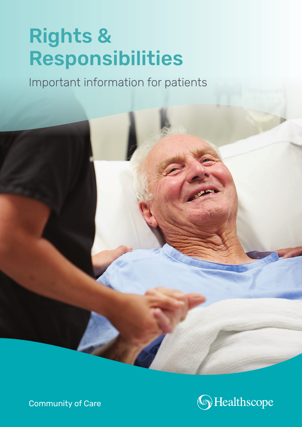# Rights & Responsibilities

Important information for patients



Community of Care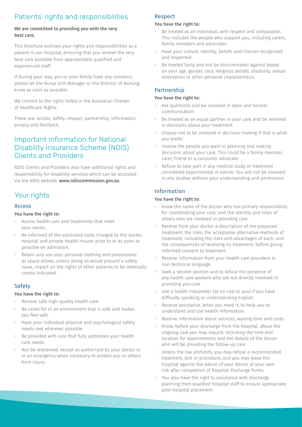# Patients' rights and responsibilities

#### We are committed to providing you with the very best care.

This brochure outlines your rights and responsibilities as a patient in our hospital, ensuring that you receive the very best care possible from appropriately qualified and experienced staff.

If during your stay, you or your family have any concerns, please let the Nurse Unit Manager or the Director of Nursing know as soon as possible.

We commit to the rights listed in the Australian Charter of Healthcare Rights.

These are: access, safety, respect, partnership, information, privacy and feedback.

# Important Information for National Disability Insurance Scheme (NDIS) Clients and Providers

NDIS Clients and Providers also have additional rights and responsibility for disability services which can be accessed via the NDIS website: www.ndiscommission.gov.au

# Your rights

#### Access

#### You have the right to:

- Access health care and treatments that meet your needs.
- Be informed of the estimated costs charged by the doctor, hospital and private health insurer prior to or as soon as possible on admission.
- Retain and use your personal clothing and possessions as space allows, unless doing so would present a safety issue, impact on the rights of other patients or be medically contra-indicated.

## **Safety**

#### You have the right to:

- Receive safe high-quality health care.
- Be cared for in an environment that is safe and makes you feel safe.
- Have your individual physical and psychological safety needs met wherever possible.
- Be provided with care that fully addresses your health care needs.
- Not be restrained, except as authorised by your doctor or in an emergency when necessary to protect you or others from injury.

#### Respect

#### You have the right to:

- Be treated as an individual, with respect and compassion. This includes the people who support you, including carers, family members and advocates.
- Have your culture, identity, beliefs and choices recognised and respected.
- Be treated fairly and not be discriminated against based on your age, gender, race, religious beliefs, disability, sexual orientation or other personal characteristics.

## Partnership

#### You have the right to:

- Ask questions and be involved in open and honest communication.
- Be treated as an equal partner in your care and be involved in decisions about your treatment.
- Choose not to be involved in decision-making if that is what you prefer.
- Involve the people you want in planning and making decisions about your care. This could be a family member, carer, friend or a consumer advocate.
- Refuse to take part in any medical study or treatment considered experimental in nature. You will not be involved in any studies without your understanding and permission.

## Information

#### You have the right to:

- Know the name of the doctor who has primary responsibility for coordinating your care, and the identity and roles of others who are involved in providing care.
- Receive from your doctor a description of the proposed treatment, the risks, the acceptable alternative methods of treatment, including the risks and advantages of each, and the consequences of receiving no treatment, before giving informed consent to treatment.
- Receive information from your health care providers in non-technical language.
- Seek a second opinion and to refuse the presence of any health care workers who are not directly involved in providing you care.
- Use a health interpreter (at no cost to you) if you have difficulty speaking or understanding English.
- Receive assistance, when you need it, to help you to understand and use health information.
- Receive information about services, waiting time and costs.
- Know, before your discharge from the hospital, about the ongoing care you may require, including the time and location for appointments and the details of the doctor who will be providing the follow-up care.
- Unless the law prohibits, you may refuse a recommended treatment, test or procedure, and you may leave the hospital against the advice of your doctor at your own risk after completion of hospital discharge forms.
- You also have the right to assistance with discharge planning from qualified hospital staff to ensure appropriate post-hospital placement.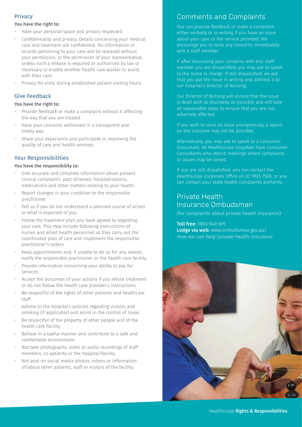## Privacy

#### You have the right to:

- Have your personal space and privacy respected.
- Confidentiality and privacy. Details concerning your medical care and treatment are confidential. No information or records pertaining to your care will be released without your permission, or the permission of your representative, unless such a release is required or authorised by law or necessary to enable another health care worker to assist with their care
- Privacy for visits during established patient visiting hours.

## Give Feedback

#### You have the right to:

- Provide feedback or make a complaint without it affecting the way that you are treated.
- Have your concerns addressed in a transparent and timely way.
- Share your experience and participate in improving the quality of care and health services.

#### Your Responsibilities

#### You have the responsibility to:

- Give accurate and complete information about present clinical complaints, past illnesses, hospitalisations, medications and other matters relating to your health.
- Report changes in your condition to the responsible practitioner.
- Tell us if you do not understand a planned course of action or what is expected of you.
- Follow the treatment plan you have agreed to regarding your care. This may include following instructions of nurses and allied health personnel as they carry out the coordinated plan of care and implement the responsible practitioner's orders.
- Keep appointments and, if unable to do so for any reason, notify the responsible practitioner or the health care facility.
- Provide information concerning your ability to pay for services.
- Accept the outcomes of your actions if you refuse treatment or do not follow the health care provider's instructions.
- Be respectful of the rights of other patients and healthcare staff.
- Adhere to the hospital's policies regarding visitors and smoking (if applicable) and assist in the control of noise.
- Be respectful of the property of other people and of the health care facility.
- Behave in a lawful manner and contribute to a safe and comfortable environment.
- Not take photographs, video or audio recordings of staff members, co-patients or the hospital/facility.
- Not post on social media photos, videos or information of/about other patients, staff or visitors of the facility.

# Comments and Complaints

You can provide feedback or make a complaint either verbally or in writing if you have an issue about your care or the service provided. We encourage you to raise any concerns immediately with a staff member.

If after discussing your concerns with this staff member you are dissatisfied, you may ask to speak to the nurse in charge. If still dissatisfied, we ask that you put the issue in writing and address it to our hospital's Director of Nursing.

Our Director of Nursing will ensure that the issue is dealt with as discreetly as possible and will take all reasonable steps to ensure that you are not adversely affected.

If you wish to raise an issue anonymously, a report on the outcome may not be possible.

Alternatively, you may ask to speak to a Consumer Consultant. All Healthscope hospitals have Consumer Consultants who attend meetings where complaints or issues may be raised.

If you are still dissatisfied, you can contact the Healthscope Corporate Office on 03 9926 7500, or you can contact your state health complaints authority.

# Private Health Insurance Ombudsman

(for complaints about private health insurance)

Toll free: 1800 640 695 Lodge via web: [www.ombudsman.gov.au/](mailto:www.ombudsman.gov.au/How-we-can-help/private-health-insurance?subject=) [How-we-can-help/private-health-insurance](mailto:www.ombudsman.gov.au/How-we-can-help/private-health-insurance?subject=)